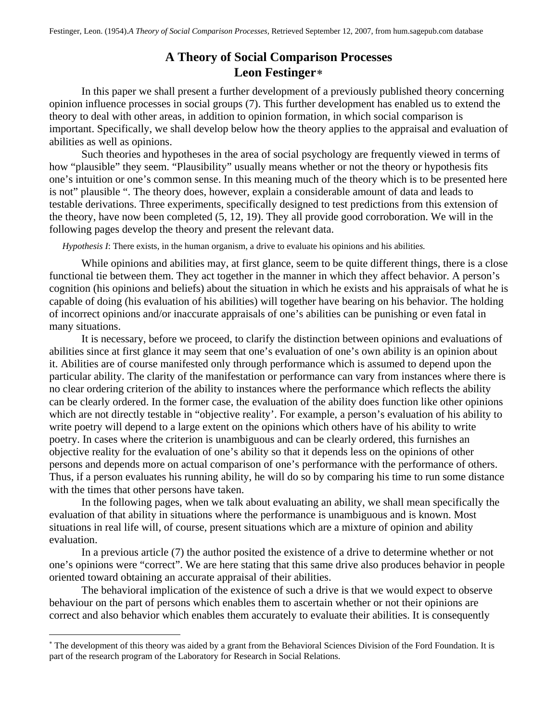# **A Theory of Social Comparison Processes Leon Festinger**[∗](#page-0-0)

 In this paper we shall present a further development of a previously published theory concerning opinion influence processes in social groups (7). This further development has enabled us to extend the theory to deal with other areas, in addition to opinion formation, in which social comparison is important. Specifically, we shall develop below how the theory applies to the appraisal and evaluation of abilities as well as opinions.

 Such theories and hypotheses in the area of social psychology are frequently viewed in terms of how "plausible" they seem. "Plausibility" usually means whether or not the theory or hypothesis fits one's intuition or one's common sense. In this meaning much of the theory which is to be presented here is not" plausible ". The theory does, however, explain a considerable amount of data and leads to testable derivations. Three experiments, specifically designed to test predictions from this extension of the theory, have now been completed (5, 12, 19). They all provide good corroboration. We will in the following pages develop the theory and present the relevant data.

*Hypothesis I*: There exists, in the human organism, a drive to evaluate his opinions and his abilitie*s.* 

 While opinions and abilities may, at first glance, seem to be quite different things, there is a close functional tie between them. They act together in the manner in which they affect behavior. A person's cognition (his opinions and beliefs) about the situation in which he exists and his appraisals of what he is capable of doing (his evaluation of his abilities) will together have bearing on his behavior. The holding of incorrect opinions and/or inaccurate appraisals of one's abilities can be punishing or even fatal in many situations.

 It is necessary, before we proceed, to clarify the distinction between opinions and evaluations of abilities since at first glance it may seem that one's evaluation of one's own ability is an opinion about it. Abilities are of course manifested only through performance which is assumed to depend upon the particular ability. The clarity of the manifestation or performance can vary from instances where there is no clear ordering criterion of the ability to instances where the performance which reflects the ability can be clearly ordered. In the former case, the evaluation of the ability does function like other opinions which are not directly testable in "objective reality'. For example, a person's evaluation of his ability to write poetry will depend to a large extent on the opinions which others have of his ability to write poetry. In cases where the criterion is unambiguous and can be clearly ordered, this furnishes an objective reality for the evaluation of one's ability so that it depends less on the opinions of other persons and depends more on actual comparison of one's performance with the performance of others. Thus, if a person evaluates his running ability, he will do so by comparing his time to run some distance with the times that other persons have taken.

 In the following pages, when we talk about evaluating an ability, we shall mean specifically the evaluation of that ability in situations where the performance is unambiguous and is known. Most situations in real life will, of course, present situations which are a mixture of opinion and ability evaluation.

 In a previous article (7) the author posited the existence of a drive to determine whether or not one's opinions were "correct". We are here stating that this same drive also produces behavior in people oriented toward obtaining an accurate appraisal of their abilities.

 The behavioral implication of the existence of such a drive is that we would expect to observe behaviour on the part of persons which enables them to ascertain whether or not their opinions are correct and also behavior which enables them accurately to evaluate their abilities. It is consequently

 $\overline{a}$ 

<span id="page-0-0"></span><sup>∗</sup> The development of this theory was aided by a grant from the Behavioral Sciences Division of the Ford Foundation. It is part of the research program of the Laboratory for Research in Social Relations.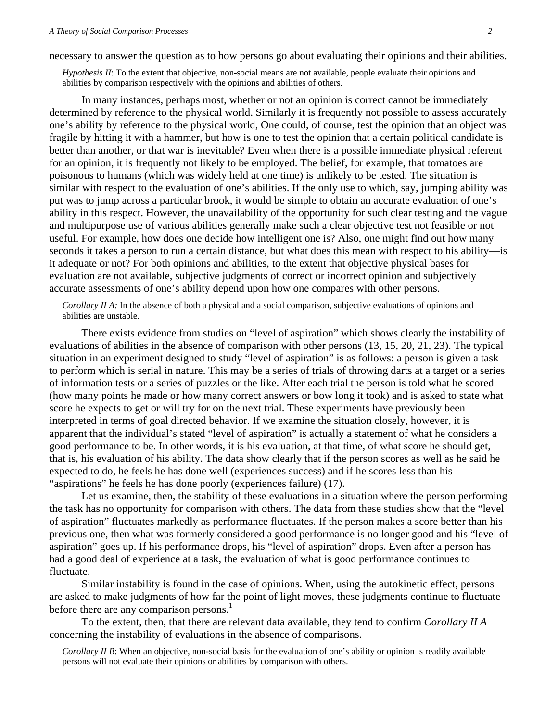necessary to answer the question as to how persons go about evaluating their opinions and their abilities.

*Hypothesis II*: To the extent that objective, non-social means are not available, people evaluate their opinions and abilities by comparison respectively with the opinions and abilities of others.

 In many instances, perhaps most, whether or not an opinion is correct cannot be immediately determined by reference to the physical world. Similarly it is frequently not possible to assess accurately one's ability by reference to the physical world, One could, of course, test the opinion that an object was fragile by hitting it with a hammer, but how is one to test the opinion that a certain political candidate is better than another, or that war is inevitable? Even when there is a possible immediate physical referent for an opinion, it is frequently not likely to be employed. The belief, for example, that tomatoes are poisonous to humans (which was widely held at one time) is unlikely to be tested. The situation is similar with respect to the evaluation of one's abilities. If the only use to which, say, jumping ability was put was to jump across a particular brook, it would be simple to obtain an accurate evaluation of one's ability in this respect. However, the unavailability of the opportunity for such clear testing and the vague and multipurpose use of various abilities generally make such a clear objective test not feasible or not useful. For example, how does one decide how intelligent one is? Also, one might find out how many seconds it takes a person to run a certain distance, but what does this mean with respect to his ability—is it adequate or not? For both opinions and abilities, to the extent that objective physical bases for evaluation are not available, subjective judgments of correct or incorrect opinion and subjectively accurate assessments of one's ability depend upon how one compares with other persons.

*Corollary II A:* In the absence of both a physical and a social comparison, subjective evaluations of opinions and abilities are unstable.

 There exists evidence from studies on "level of aspiration" which shows clearly the instability of evaluations of abilities in the absence of comparison with other persons (13, 15, 20, 21, 23). The typical situation in an experiment designed to study "level of aspiration" is as follows: a person is given a task to perform which is serial in nature. This may be a series of trials of throwing darts at a target or a series of information tests or a series of puzzles or the like. After each trial the person is told what he scored (how many points he made or how many correct answers or bow long it took) and is asked to state what score he expects to get or will try for on the next trial. These experiments have previously been interpreted in terms of goal directed behavior. If we examine the situation closely, however, it is apparent that the individual's stated "level of aspiration" is actually a statement of what he considers a good performance to be. In other words, it is his evaluation, at that time, of what score he should get, that is, his evaluation of his ability. The data show clearly that if the person scores as well as he said he expected to do, he feels he has done well (experiences success) and if he scores less than his "aspirations" he feels he has done poorly (experiences failure) (17).

Let us examine, then, the stability of these evaluations in a situation where the person performing the task has no opportunity for comparison with others. The data from these studies show that the "level of aspiration" fluctuates markedly as performance fluctuates. If the person makes a score better than his previous one, then what was formerly considered a good performance is no longer good and his "level of aspiration" goes up. If his performance drops, his "level of aspiration" drops. Even after a person has had a good deal of experience at a task, the evaluation of what is good performance continues to fluctuate.

 Similar instability is found in the case of opinions. When, using the autokinetic effect, persons are asked to make judgments of how far the point of light moves, these judgments continue to fluctuate before there are any comparison persons.<sup>1</sup>

 To the extent, then, that there are relevant data available, they tend to confirm *Corollary II A* concerning the instability of evaluations in the absence of comparisons.

*Corollary II B*: When an objective, non-social basis for the evaluation of one's ability or opinion is readily available persons will not evaluate their opinions or abilities by comparison with others.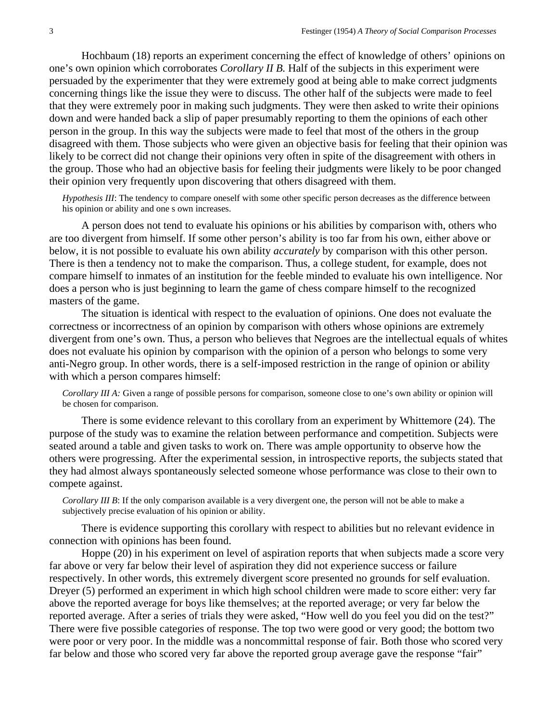Hochbaum (18) reports an experiment concerning the effect of knowledge of others' opinions on one's own opinion which corroborates *Corollary II B.* Half of the subjects in this experiment were persuaded by the experimenter that they were extremely good at being able to make correct judgments concerning things like the issue they were to discuss. The other half of the subjects were made to feel that they were extremely poor in making such judgments. They were then asked to write their opinions down and were handed back a slip of paper presumably reporting to them the opinions of each other person in the group. In this way the subjects were made to feel that most of the others in the group disagreed with them. Those subjects who were given an objective basis for feeling that their opinion was likely to be correct did not change their opinions very often in spite of the disagreement with others in the group. Those who had an objective basis for feeling their judgments were likely to be poor changed their opinion very frequently upon discovering that others disagreed with them.

*Hypothesis III*: The tendency to compare oneself with some other specific person decreases as the difference between his opinion or ability and one s own increases.

 A person does not tend to evaluate his opinions or his abilities by comparison with, others who are too divergent from himself. If some other person's ability is too far from his own, either above or below, it is not possible to evaluate his own ability *accurately* by comparison with this other person. There is then a tendency not to make the comparison. Thus, a college student, for example, does not compare himself to inmates of an institution for the feeble minded to evaluate his own intelligence. Nor does a person who is just beginning to learn the game of chess compare himself to the recognized masters of the game.

 The situation is identical with respect to the evaluation of opinions. One does not evaluate the correctness or incorrectness of an opinion by comparison with others whose opinions are extremely divergent from one's own. Thus, a person who believes that Negroes are the intellectual equals of whites does not evaluate his opinion by comparison with the opinion of a person who belongs to some very anti-Negro group. In other words, there is a self-imposed restriction in the range of opinion or ability with which a person compares himself:

*Corollary III A:* Given a range of possible persons for comparison, someone close to one's own ability or opinion will be chosen for comparison.

 There is some evidence relevant to this corollary from an experiment by Whittemore (24). The purpose of the study was to examine the relation between performance and competition. Subjects were seated around a table and given tasks to work on. There was ample opportunity to observe how the others were progressing. After the experimental session, in introspective reports, the subjects stated that they had almost always spontaneously selected someone whose performance was close to their own to compete against.

*Corollary III B*: If the only comparison available is a very divergent one, the person will not be able to make a subjectively precise evaluation of his opinion or ability.

 There is evidence supporting this corollary with respect to abilities but no relevant evidence in connection with opinions has been found.

 Hoppe (20) in his experiment on level of aspiration reports that when subjects made a score very far above or very far below their level of aspiration they did not experience success or failure respectively. In other words, this extremely divergent score presented no grounds for self evaluation. Dreyer (5) performed an experiment in which high school children were made to score either: very far above the reported average for boys like themselves; at the reported average; or very far below the reported average. After a series of trials they were asked, "How well do you feel you did on the test?" There were five possible categories of response. The top two were good or very good; the bottom two were poor or very poor. In the middle was a noncommittal response of fair. Both those who scored very far below and those who scored very far above the reported group average gave the response "fair"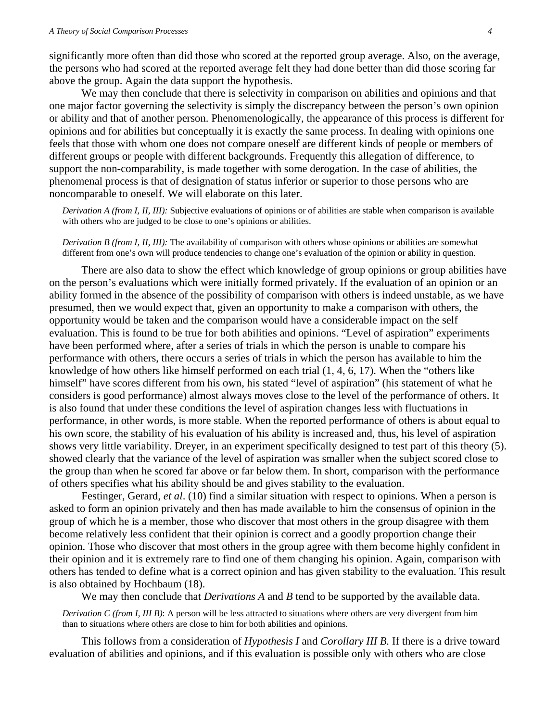significantly more often than did those who scored at the reported group average. Also, on the average, the persons who had scored at the reported average felt they had done better than did those scoring far above the group. Again the data support the hypothesis.

 We may then conclude that there is selectivity in comparison on abilities and opinions and that one major factor governing the selectivity is simply the discrepancy between the person's own opinion or ability and that of another person. Phenomenologically, the appearance of this process is different for opinions and for abilities but conceptually it is exactly the same process. In dealing with opinions one feels that those with whom one does not compare oneself are different kinds of people or members of different groups or people with different backgrounds. Frequently this allegation of difference, to support the non-comparability, is made together with some derogation. In the case of abilities, the phenomenal process is that of designation of status inferior or superior to those persons who are noncomparable to oneself. We will elaborate on this later.

*Derivation A (from I, II, III):* Subjective evaluations of opinions or of abilities are stable when comparison is available with others who are judged to be close to one's opinions or abilities.

*Derivation B (from I, II, III):* The availability of comparison with others whose opinions or abilities are somewhat different from one's own will produce tendencies to change one's evaluation of the opinion or ability in question.

 There are also data to show the effect which knowledge of group opinions or group abilities have on the person's evaluations which were initially formed privately. If the evaluation of an opinion or an ability formed in the absence of the possibility of comparison with others is indeed unstable, as we have presumed, then we would expect that, given an opportunity to make a comparison with others, the opportunity would be taken and the comparison would have a considerable impact on the self evaluation. This is found to be true for both abilities and opinions. "Level of aspiration" experiments have been performed where, after a series of trials in which the person is unable to compare his performance with others, there occurs a series of trials in which the person has available to him the knowledge of how others like himself performed on each trial (1, 4, 6, 17). When the "others like himself" have scores different from his own, his stated "level of aspiration" (his statement of what he considers is good performance) almost always moves close to the level of the performance of others. It is also found that under these conditions the level of aspiration changes less with fluctuations in performance, in other words, is more stable. When the reported performance of others is about equal to his own score, the stability of his evaluation of his ability is increased and, thus, his level of aspiration shows very little variability. Dreyer, in an experiment specifically designed to test part of this theory (5). showed clearly that the variance of the level of aspiration was smaller when the subject scored close to the group than when he scored far above or far below them. In short, comparison with the performance of others specifies what his ability should be and gives stability to the evaluation.

 Festinger, Gerard, *et al*. (10) find a similar situation with respect to opinions. When a person is asked to form an opinion privately and then has made available to him the consensus of opinion in the group of which he is a member, those who discover that most others in the group disagree with them become relatively less confident that their opinion is correct and a goodly proportion change their opinion. Those who discover that most others in the group agree with them become highly confident in their opinion and it is extremely rare to find one of them changing his opinion. Again, comparison with others has tended to define what is a correct opinion and has given stability to the evaluation. This result is also obtained by Hochbaum (18).

We may then conclude that *Derivations A* and *B* tend to be supported by the available data.

*Derivation C (from I, III B)*: A person will be less attracted to situations where others are very divergent from him than to situations where others are close to him for both abilities and opinions.

 This follows from a consideration of *Hypothesis I* and *Corollary III B.* If there is a drive toward evaluation of abilities and opinions, and if this evaluation is possible only with others who are close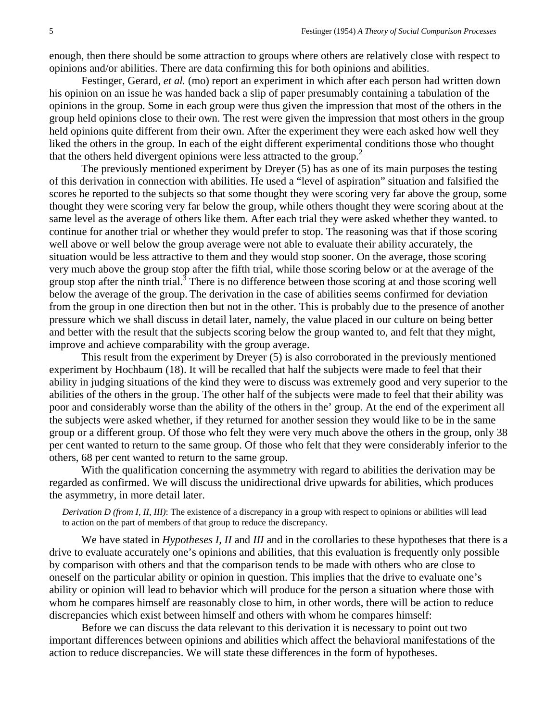enough, then there should be some attraction to groups where others are relatively close with respect to opinions and/or abilities. There are data confirming this for both opinions and abilities.

Festinger, Gerard, *et al.* (mo) report an experiment in which after each person had written down his opinion on an issue he was handed back a slip of paper presumably containing a tabulation of the opinions in the group. Some in each group were thus given the impression that most of the others in the group held opinions close to their own. The rest were given the impression that most others in the group held opinions quite different from their own. After the experiment they were each asked how well they liked the others in the group. In each of the eight different experimental conditions those who thought that the others held divergent opinions were less attracted to the group.<sup>2</sup>

 The previously mentioned experiment by Dreyer (5) has as one of its main purposes the testing of this derivation in connection with abilities. He used a "level of aspiration" situation and falsified the scores he reported to the subjects so that some thought they were scoring very far above the group, some thought they were scoring very far below the group, while others thought they were scoring about at the same level as the average of others like them. After each trial they were asked whether they wanted. to continue for another trial or whether they would prefer to stop. The reasoning was that if those scoring well above or well below the group average were not able to evaluate their ability accurately, the situation would be less attractive to them and they would stop sooner. On the average, those scoring very much above the group stop after the fifth trial, while those scoring below or at the average of the group stop after the ninth trial.<sup>3</sup> There is no difference between those scoring at and those scoring well below the average of the group. The derivation in the case of abilities seems confirmed for deviation from the group in one direction then but not in the other. This is probably due to the presence of another pressure which we shall discuss in detail later, namely, the value placed in our culture on being better and better with the result that the subjects scoring below the group wanted to, and felt that they might, improve and achieve comparability with the group average.

 This result from the experiment by Dreyer (5) is also corroborated in the previously mentioned experiment by Hochbaum (18). It will be recalled that half the subjects were made to feel that their ability in judging situations of the kind they were to discuss was extremely good and very superior to the abilities of the others in the group. The other half of the subjects were made to feel that their ability was poor and considerably worse than the ability of the others in the' group. At the end of the experiment all the subjects were asked whether, if they returned for another session they would like to be in the same group or a different group. Of those who felt they were very much above the others in the group, only 38 per cent wanted to return to the same group. Of those who felt that they were considerably inferior to the others, 68 per cent wanted to return to the same group.

 With the qualification concerning the asymmetry with regard to abilities the derivation may be regarded as confirmed. We will discuss the unidirectional drive upwards for abilities, which produces the asymmetry, in more detail later.

*Derivation D (from I, II, III)*: The existence of a discrepancy in a group with respect to opinions or abilities will lead to action on the part of members of that group to reduce the discrepancy.

 We have stated in *Hypotheses I, II* and *III* and in the corollaries to these hypotheses that there is a drive to evaluate accurately one's opinions and abilities, that this evaluation is frequently only possible by comparison with others and that the comparison tends to be made with others who are close to oneself on the particular ability or opinion in question. This implies that the drive to evaluate one's ability or opinion will lead to behavior which will produce for the person a situation where those with whom he compares himself are reasonably close to him, in other words, there will be action to reduce discrepancies which exist between himself and others with whom he compares himself:

 Before we can discuss the data relevant to this derivation it is necessary to point out two important differences between opinions and abilities which affect the behavioral manifestations of the action to reduce discrepancies. We will state these differences in the form of hypotheses.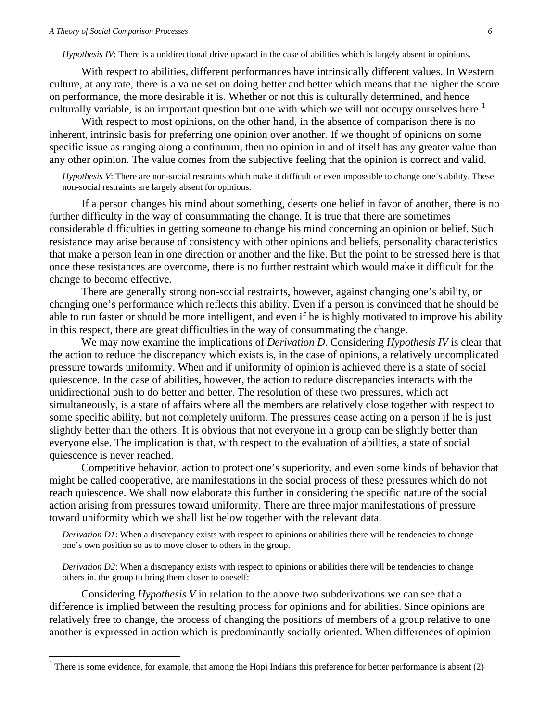$\overline{a}$ 

*Hypothesis IV*: There is a unidirectional drive upward in the case of abilities which is largely absent in opinions.

 With respect to abilities, different performances have intrinsically different values. In Western culture, at any rate, there is a value set on doing better and better which means that the higher the score on performance, the more desirable it is. Whether or not this is culturally determined, and hence culturally variable, is an important question but one with which we will not occupy ourselves here.<sup>[1](#page-5-0)</sup>

 With respect to most opinions, on the other hand, in the absence of comparison there is no inherent, intrinsic basis for preferring one opinion over another. If we thought of opinions on some specific issue as ranging along a continuum, then no opinion in and of itself has any greater value than any other opinion. The value comes from the subjective feeling that the opinion is correct and valid.

*Hypothesis V*: There are non-social restraints which make it difficult or even impossible to change one's ability. These non-social restraints are largely absent for opinions.

 If a person changes his mind about something, deserts one belief in favor of another, there is no further difficulty in the way of consummating the change. It is true that there are sometimes considerable difficulties in getting someone to change his mind concerning an opinion or belief. Such resistance may arise because of consistency with other opinions and beliefs, personality characteristics that make a person lean in one direction or another and the like. But the point to be stressed here is that once these resistances are overcome, there is no further restraint which would make it difficult for the change to become effective.

 There are generally strong non-social restraints, however, against changing one's ability, or changing one's performance which reflects this ability. Even if a person is convinced that he should be able to run faster or should be more intelligent, and even if he is highly motivated to improve his ability in this respect, there are great difficulties in the way of consummating the change.

 We may now examine the implications of *Derivation D*. Considering *Hypothesis IV* is clear that the action to reduce the discrepancy which exists is, in the case of opinions, a relatively uncomplicated pressure towards uniformity. When and if uniformity of opinion is achieved there is a state of social quiescence. In the case of abilities, however, the action to reduce discrepancies interacts with the unidirectional push to do better and better. The resolution of these two pressures, which act simultaneously, is a state of affairs where all the members are relatively close together with respect to some specific ability, but not completely uniform. The pressures cease acting on a person if he is just slightly better than the others. It is obvious that not everyone in a group can be slightly better than everyone else. The implication is that, with respect to the evaluation of abilities, a state of social quiescence is never reached.

 Competitive behavior, action to protect one's superiority, and even some kinds of behavior that might be called cooperative, are manifestations in the social process of these pressures which do not reach quiescence. We shall now elaborate this further in considering the specific nature of the social action arising from pressures toward uniformity. There are three major manifestations of pressure toward uniformity which we shall list below together with the relevant data.

*Derivation D1*: When a discrepancy exists with respect to opinions or abilities there will be tendencies to change one's own position so as to move closer to others in the group.

*Derivation D2*: When a discrepancy exists with respect to opinions or abilities there will be tendencies to change others in. the group to bring them closer to oneself:

 Considering *Hypothesis V* in relation to the above two subderivations we can see that a difference is implied between the resulting process for opinions and for abilities. Since opinions are relatively free to change, the process of changing the positions of members of a group relative to one another is expressed in action which is predominantly socially oriented. When differences of opinion

<span id="page-5-0"></span><sup>&</sup>lt;sup>1</sup> There is some evidence, for example, that among the Hopi Indians this preference for better performance is absent  $(2)$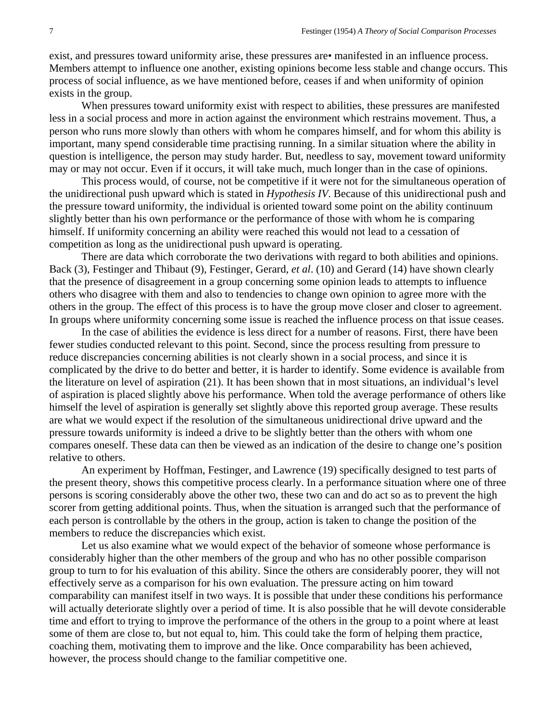exist, and pressures toward uniformity arise, these pressures are• manifested in an influence process. Members attempt to influence one another, existing opinions become less stable and change occurs. This process of social influence, as we have mentioned before, ceases if and when uniformity of opinion exists in the group.

 When pressures toward uniformity exist with respect to abilities, these pressures are manifested less in a social process and more in action against the environment which restrains movement. Thus, a person who runs more slowly than others with whom he compares himself, and for whom this ability is important, many spend considerable time practising running. In a similar situation where the ability in question is intelligence, the person may study harder. But, needless to say, movement toward uniformity may or may not occur. Even if it occurs, it will take much, much longer than in the case of opinions.

 This process would, of course, not be competitive if it were not for the simultaneous operation of the unidirectional push upward which is stated in *Hypothesis IV*. Because of this unidirectional push and the pressure toward uniformity, the individual is oriented toward some point on the ability continuum slightly better than his own performance or the performance of those with whom he is comparing himself. If uniformity concerning an ability were reached this would not lead to a cessation of competition as long as the unidirectional push upward is operating.

 There are data which corroborate the two derivations with regard to both abilities and opinions. Back (3), Festinger and Thibaut (9), Festinger, Gerard, *et al*. (10) and Gerard (14) have shown clearly that the presence of disagreement in a group concerning some opinion leads to attempts to influence others who disagree with them and also to tendencies to change own opinion to agree more with the others in the group. The effect of this process is to have the group move closer and closer to agreement. In groups where uniformity concerning some issue is reached the influence process on that issue ceases.

 In the case of abilities the evidence is less direct for a number of reasons. First, there have been fewer studies conducted relevant to this point. Second, since the process resulting from pressure to reduce discrepancies concerning abilities is not clearly shown in a social process, and since it is complicated by the drive to do better and better, it is harder to identify. Some evidence is available from the literature on level of aspiration (21). It has been shown that in most situations, an individual's level of aspiration is placed slightly above his performance. When told the average performance of others like himself the level of aspiration is generally set slightly above this reported group average. These results are what we would expect if the resolution of the simultaneous unidirectional drive upward and the pressure towards uniformity is indeed a drive to be slightly better than the others with whom one compares oneself. These data can then be viewed as an indication of the desire to change one's position relative to others.

 An experiment by Hoffman, Festinger, and Lawrence (19) specifically designed to test parts of the present theory, shows this competitive process clearly. In a performance situation where one of three persons is scoring considerably above the other two, these two can and do act so as to prevent the high scorer from getting additional points. Thus, when the situation is arranged such that the performance of each person is controllable by the others in the group, action is taken to change the position of the members to reduce the discrepancies which exist.

 Let us also examine what we would expect of the behavior of someone whose performance is considerably higher than the other members of the group and who has no other possible comparison group to turn to for his evaluation of this ability. Since the others are considerably poorer, they will not effectively serve as a comparison for his own evaluation. The pressure acting on him toward comparability can manifest itself in two ways. It is possible that under these conditions his performance will actually deteriorate slightly over a period of time. It is also possible that he will devote considerable time and effort to trying to improve the performance of the others in the group to a point where at least some of them are close to, but not equal to, him. This could take the form of helping them practice, coaching them, motivating them to improve and the like. Once comparability has been achieved, however, the process should change to the familiar competitive one.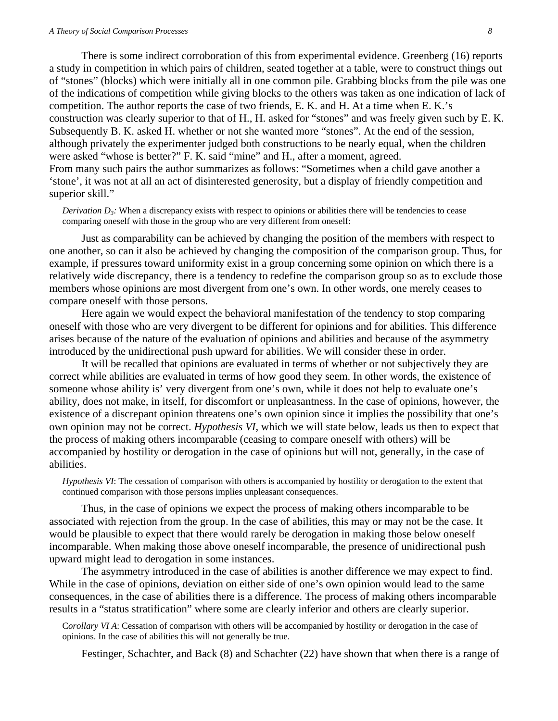There is some indirect corroboration of this from experimental evidence. Greenberg (16) reports a study in competition in which pairs of children, seated together at a table, were to construct things out of "stones" (blocks) which were initially all in one common pile. Grabbing blocks from the pile was one of the indications of competition while giving blocks to the others was taken as one indication of lack of competition. The author reports the case of two friends, E. K. and H. At a time when E. K.'s construction was clearly superior to that of H., H. asked for "stones" and was freely given such by E. K. Subsequently B. K. asked H. whether or not she wanted more "stones". At the end of the session, although privately the experimenter judged both constructions to be nearly equal, when the children were asked "whose is better?" F. K. said "mine" and H., after a moment, agreed. From many such pairs the author summarizes as follows: "Sometimes when a child gave another a 'stone', it was not at all an act of disinterested generosity, but a display of friendly competition and superior skill."

*Derivation D<sub>3</sub>*: When a discrepancy exists with respect to opinions or abilities there will be tendencies to cease comparing oneself with those in the group who are very different from oneself:

 Just as comparability can be achieved by changing the position of the members with respect to one another, so can it also be achieved by changing the composition of the comparison group. Thus, for example, if pressures toward uniformity exist in a group concerning some opinion on which there is a relatively wide discrepancy, there is a tendency to redefine the comparison group so as to exclude those members whose opinions are most divergent from one's own. In other words, one merely ceases to compare oneself with those persons.

 Here again we would expect the behavioral manifestation of the tendency to stop comparing oneself with those who are very divergent to be different for opinions and for abilities. This difference arises because of the nature of the evaluation of opinions and abilities and because of the asymmetry introduced by the unidirectional push upward for abilities. We will consider these in order.

 It will be recalled that opinions are evaluated in terms of whether or not subjectively they are correct while abilities are evaluated in terms of how good they seem. In other words, the existence of someone whose ability is' very divergent from one's own, while it does not help to evaluate one's ability, does not make, in itself, for discomfort or unpleasantness. In the case of opinions, however, the existence of a discrepant opinion threatens one's own opinion since it implies the possibility that one's own opinion may not be correct. *Hypothesis VI*, which we will state below, leads us then to expect that the process of making others incomparable (ceasing to compare oneself with others) will be accompanied by hostility or derogation in the case of opinions but will not, generally, in the case of abilities.

*Hypothesis VI*: The cessation of comparison with others is accompanied by hostility or derogation to the extent that continued comparison with those persons implies unpleasant consequences.

 Thus, in the case of opinions we expect the process of making others incomparable to be associated with rejection from the group. In the case of abilities, this may or may not be the case. It would be plausible to expect that there would rarely be derogation in making those below oneself incomparable. When making those above oneself incomparable, the presence of unidirectional push upward might lead to derogation in some instances.

 The asymmetry introduced in the case of abilities is another difference we may expect to find. While in the case of opinions, deviation on either side of one's own opinion would lead to the same consequences, in the case of abilities there is a difference. The process of making others incomparable results in a "status stratification" where some are clearly inferior and others are clearly superior.

C*orollary VI A*: Cessation of comparison with others will be accompanied by hostility or derogation in the case of opinions. In the case of abilities this will not generally be true.

Festinger, Schachter, and Back (8) and Schachter (22) have shown that when there is a range of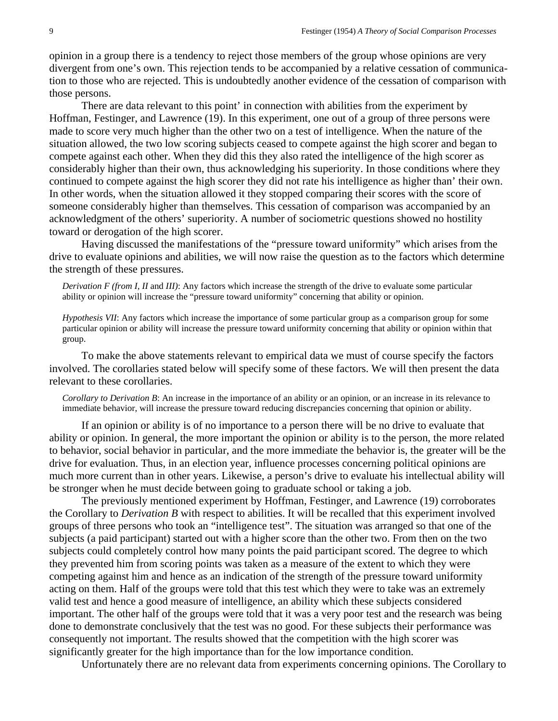opinion in a group there is a tendency to reject those members of the group whose opinions are very divergent from one's own. This rejection tends to be accompanied by a relative cessation of communication to those who are rejected. This is undoubtedly another evidence of the cessation of comparison with those persons.

 There are data relevant to this point' in connection with abilities from the experiment by Hoffman, Festinger, and Lawrence (19). In this experiment, one out of a group of three persons were made to score very much higher than the other two on a test of intelligence. When the nature of the situation allowed, the two low scoring subjects ceased to compete against the high scorer and began to compete against each other. When they did this they also rated the intelligence of the high scorer as considerably higher than their own, thus acknowledging his superiority. In those conditions where they continued to compete against the high scorer they did not rate his intelligence as higher than' their own. In other words, when the situation allowed it they stopped comparing their scores with the score of someone considerably higher than themselves. This cessation of comparison was accompanied by an acknowledgment of the others' superiority. A number of sociometric questions showed no hostility toward or derogation of the high scorer.

 Having discussed the manifestations of the "pressure toward uniformity" which arises from the drive to evaluate opinions and abilities, we will now raise the question as to the factors which determine the strength of these pressures.

*Derivation F (from I, II* and *III)*: Any factors which increase the strength of the drive to evaluate some particular ability or opinion will increase the "pressure toward uniformity" concerning that ability or opinion.

*Hypothesis VII*: Any factors which increase the importance of some particular group as a comparison group for some particular opinion or ability will increase the pressure toward uniformity concerning that ability or opinion within that group.

 To make the above statements relevant to empirical data we must of course specify the factors involved. The corollaries stated below will specify some of these factors. We will then present the data relevant to these corollaries.

*Corollary to Derivation B*: An increase in the importance of an ability or an opinion, or an increase in its relevance to immediate behavior, will increase the pressure toward reducing discrepancies concerning that opinion or ability.

 If an opinion or ability is of no importance to a person there will be no drive to evaluate that ability or opinion. In general, the more important the opinion or ability is to the person, the more related to behavior, social behavior in particular, and the more immediate the behavior is, the greater will be the drive for evaluation. Thus, in an election year, influence processes concerning political opinions are much more current than in other years. Likewise, a person's drive to evaluate his intellectual ability will be stronger when he must decide between going to graduate school or taking a job.

 The previously mentioned experiment by Hoffman, Festinger, and Lawrence (19) corroborates the Corollary to *Derivation B* with respect to abilities. It will be recalled that this experiment involved groups of three persons who took an "intelligence test". The situation was arranged so that one of the subjects (a paid participant) started out with a higher score than the other two. From then on the two subjects could completely control how many points the paid participant scored. The degree to which they prevented him from scoring points was taken as a measure of the extent to which they were competing against him and hence as an indication of the strength of the pressure toward uniformity acting on them. Half of the groups were told that this test which they were to take was an extremely valid test and hence a good measure of intelligence, an ability which these subjects considered important. The other half of the groups were told that it was a very poor test and the research was being done to demonstrate conclusively that the test was no good. For these subjects their performance was consequently not important. The results showed that the competition with the high scorer was significantly greater for the high importance than for the low importance condition.

Unfortunately there are no relevant data from experiments concerning opinions. The Corollary to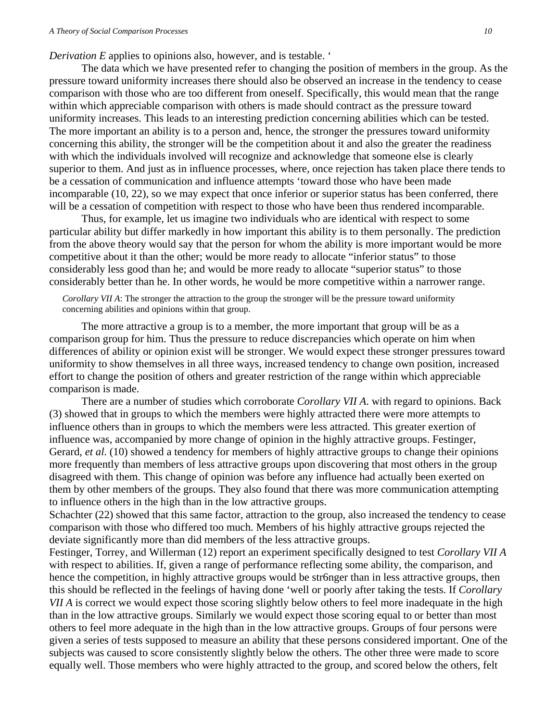*Derivation E* applies to opinions also, however, and is testable. '

 The data which we have presented refer to changing the position of members in the group. As the pressure toward uniformity increases there should also be observed an increase in the tendency to cease comparison with those who are too different from oneself. Specifically, this would mean that the range within which appreciable comparison with others is made should contract as the pressure toward uniformity increases. This leads to an interesting prediction concerning abilities which can be tested. The more important an ability is to a person and, hence, the stronger the pressures toward uniformity concerning this ability, the stronger will be the competition about it and also the greater the readiness with which the individuals involved will recognize and acknowledge that someone else is clearly superior to them. And just as in influence processes, where, once rejection has taken place there tends to be a cessation of communication and influence attempts 'toward those who have been made incomparable (10, 22), so we may expect that once inferior or superior status has been conferred, there will be a cessation of competition with respect to those who have been thus rendered incomparable.

 Thus, for example, let us imagine two individuals who are identical with respect to some particular ability but differ markedly in how important this ability is to them personally. The prediction from the above theory would say that the person for whom the ability is more important would be more competitive about it than the other; would be more ready to allocate "inferior status" to those considerably less good than he; and would be more ready to allocate "superior status" to those considerably better than he. In other words, he would be more competitive within a narrower range.

*Corollary VII A*: The stronger the attraction to the group the stronger will be the pressure toward uniformity concerning abilities and opinions within that group.

 The more attractive a group is to a member, the more important that group will be as a comparison group for him. Thus the pressure to reduce discrepancies which operate on him when differences of ability or opinion exist will be stronger. We would expect these stronger pressures toward uniformity to show themselves in all three ways, increased tendency to change own position, increased effort to change the position of others and greater restriction of the range within which appreciable comparison is made.

 There are a number of studies which corroborate *Corollary VII A*. with regard to opinions. Back (3) showed that in groups to which the members were highly attracted there were more attempts to influence others than in groups to which the members were less attracted. This greater exertion of influence was, accompanied by more change of opinion in the highly attractive groups. Festinger, Gerard, *et al*. (10) showed a tendency for members of highly attractive groups to change their opinions more frequently than members of less attractive groups upon discovering that most others in the group disagreed with them. This change of opinion was before any influence had actually been exerted on them by other members of the groups. They also found that there was more communication attempting to influence others in the high than in the low attractive groups.

Schachter (22) showed that this same factor, attraction to the group, also increased the tendency to cease comparison with those who differed too much. Members of his highly attractive groups rejected the deviate significantly more than did members of the less attractive groups.

Festinger, Torrey, and Willerman (12) report an experiment specifically designed to test *Corollary VII A* with respect to abilities. If, given a range of performance reflecting some ability, the comparison, and hence the competition, in highly attractive groups would be str6nger than in less attractive groups, then this should be reflected in the feelings of having done 'well or poorly after taking the tests. If *Corollary VII A* is correct we would expect those scoring slightly below others to feel more inadequate in the high than in the low attractive groups. Similarly we would expect those scoring equal to or better than most others to feel more adequate in the high than in the low attractive groups. Groups of four persons were given a series of tests supposed to measure an ability that these persons considered important. One of the subjects was caused to score consistently slightly below the others. The other three were made to score equally well. Those members who were highly attracted to the group, and scored below the others, felt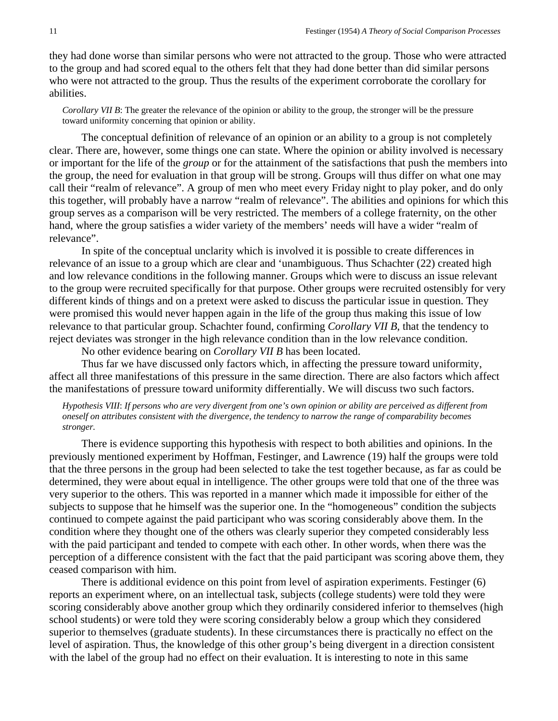they had done worse than similar persons who were not attracted to the group. Those who were attracted to the group and had scored equal to the others felt that they had done better than did similar persons who were not attracted to the group. Thus the results of the experiment corroborate the corollary for abilities.

*Corollary VII B*: The greater the relevance of the opinion or ability to the group, the stronger will be the pressure toward uniformity concerning that opinion or ability.

 The conceptual definition of relevance of an opinion or an ability to a group is not completely clear. There are, however, some things one can state. Where the opinion or ability involved is necessary or important for the life of the *group* or for the attainment of the satisfactions that push the members into the group, the need for evaluation in that group will be strong. Groups will thus differ on what one may call their "realm of relevance". A group of men who meet every Friday night to play poker, and do only this together, will probably have a narrow "realm of relevance". The abilities and opinions for which this group serves as a comparison will be very restricted. The members of a college fraternity, on the other hand, where the group satisfies a wider variety of the members' needs will have a wider "realm of relevance".

 In spite of the conceptual unclarity which is involved it is possible to create differences in relevance of an issue to a group which are clear and 'unambiguous. Thus Schachter (22) created high and low relevance conditions in the following manner. Groups which were to discuss an issue relevant to the group were recruited specifically for that purpose. Other groups were recruited ostensibly for very different kinds of things and on a pretext were asked to discuss the particular issue in question. They were promised this would never happen again in the life of the group thus making this issue of low relevance to that particular group. Schachter found, confirming *Corollary VII B*, that the tendency to reject deviates was stronger in the high relevance condition than in the low relevance condition.

No other evidence bearing on *Corollary VII B* has been located.

 Thus far we have discussed only factors which, in affecting the pressure toward uniformity, affect all three manifestations of this pressure in the same direction. There are also factors which affect the manifestations of pressure toward uniformity differentially. We will discuss two such factors.

*Hypothesis VIII*: *If persons who are very divergent from one's own opinion or ability are perceived as different from oneself on attributes consistent with the divergence, the tendency to narrow the range of comparability becomes stronger.* 

 There is evidence supporting this hypothesis with respect to both abilities and opinions. In the previously mentioned experiment by Hoffman, Festinger, and Lawrence (19) half the groups were told that the three persons in the group had been selected to take the test together because, as far as could be determined, they were about equal in intelligence. The other groups were told that one of the three was very superior to the others. This was reported in a manner which made it impossible for either of the subjects to suppose that he himself was the superior one. In the "homogeneous" condition the subjects continued to compete against the paid participant who was scoring considerably above them. In the condition where they thought one of the others was clearly superior they competed considerably less with the paid participant and tended to compete with each other. In other words, when there was the perception of a difference consistent with the fact that the paid participant was scoring above them, they ceased comparison with him.

 There is additional evidence on this point from level of aspiration experiments. Festinger (6) reports an experiment where, on an intellectual task, subjects (college students) were told they were scoring considerably above another group which they ordinarily considered inferior to themselves (high school students) or were told they were scoring considerably below a group which they considered superior to themselves (graduate students). In these circumstances there is practically no effect on the level of aspiration. Thus, the knowledge of this other group's being divergent in a direction consistent with the label of the group had no effect on their evaluation. It is interesting to note in this same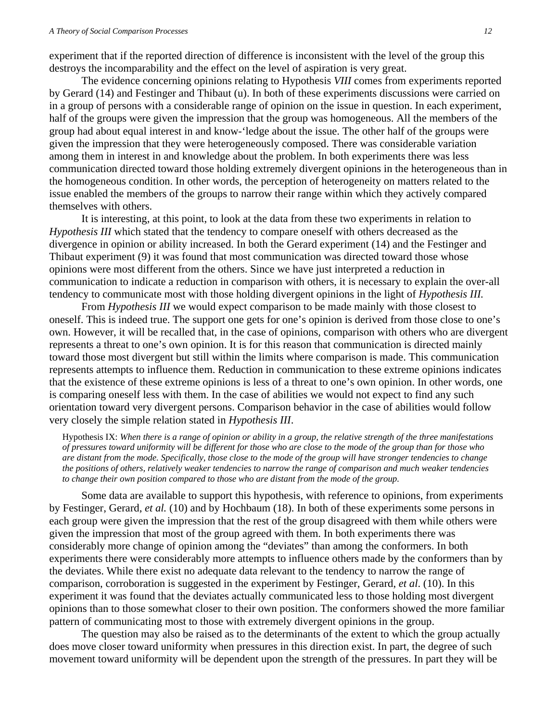experiment that if the reported direction of difference is inconsistent with the level of the group this destroys the incomparability and the effect on the level of aspiration is very great.

 The evidence concerning opinions relating to Hypothesis *VIII* comes from experiments reported by Gerard (14) and Festinger and Thibaut (u). In both of these experiments discussions were carried on in a group of persons with a considerable range of opinion on the issue in question. In each experiment, half of the groups were given the impression that the group was homogeneous. All the members of the group had about equal interest in and know-'ledge about the issue. The other half of the groups were given the impression that they were heterogeneously composed. There was considerable variation among them in interest in and knowledge about the problem. In both experiments there was less communication directed toward those holding extremely divergent opinions in the heterogeneous than in the homogeneous condition. In other words, the perception of heterogeneity on matters related to the issue enabled the members of the groups to narrow their range within which they actively compared themselves with others.

 It is interesting, at this point, to look at the data from these two experiments in relation to *Hypothesis III* which stated that the tendency to compare oneself with others decreased as the divergence in opinion or ability increased. In both the Gerard experiment (14) and the Festinger and Thibaut experiment (9) it was found that most communication was directed toward those whose opinions were most different from the others. Since we have just interpreted a reduction in communication to indicate a reduction in comparison with others, it is necessary to explain the over-all tendency to communicate most with those holding divergent opinions in the light of *Hypothesis III.*

From *Hypothesis III* we would expect comparison to be made mainly with those closest to oneself. This is indeed true. The support one gets for one's opinion is derived from those close to one's own. However, it will be recalled that, in the case of opinions, comparison with others who are divergent represents a threat to one's own opinion. It is for this reason that communication is directed mainly toward those most divergent but still within the limits where comparison is made. This communication represents attempts to influence them. Reduction in communication to these extreme opinions indicates that the existence of these extreme opinions is less of a threat to one's own opinion. In other words, one is comparing oneself less with them. In the case of abilities we would not expect to find any such orientation toward very divergent persons. Comparison behavior in the case of abilities would follow very closely the simple relation stated in *Hypothesis III*.

Hypothesis IX: *When there is a range of opinion or ability in a group, the relative strength of the three manifestations of pressures toward uniformity will be different for those who are close to the mode of the group than for those who are distant from the mode. Specifically, those close to the mode of the group will have stronger tendencies to change the positions of others, relatively weaker tendencies to narrow the range of comparison and much weaker tendencies to change their own position compared to those who are distant from the mode of the group.* 

 Some data are available to support this hypothesis, with reference to opinions, from experiments by Festinger, Gerard, *et al.* (10) and by Hochbaum (18). In both of these experiments some persons in each group were given the impression that the rest of the group disagreed with them while others were given the impression that most of the group agreed with them. In both experiments there was considerably more change of opinion among the "deviates" than among the conformers. In both experiments there were considerably more attempts to influence others made by the conformers than by the deviates. While there exist no adequate data relevant to the tendency to narrow the range of comparison, corroboration is suggested in the experiment by Festinger, Gerard, *et al*. (10). In this experiment it was found that the deviates actually communicated less to those holding most divergent opinions than to those somewhat closer to their own position. The conformers showed the more familiar pattern of communicating most to those with extremely divergent opinions in the group.

 The question may also be raised as to the determinants of the extent to which the group actually does move closer toward uniformity when pressures in this direction exist. In part, the degree of such movement toward uniformity will be dependent upon the strength of the pressures. In part they will be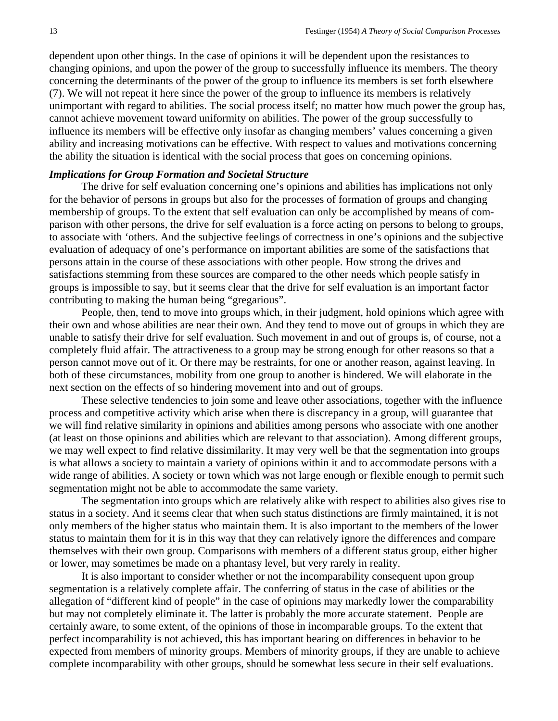dependent upon other things. In the case of opinions it will be dependent upon the resistances to changing opinions, and upon the power of the group to successfully influence its members. The theory concerning the determinants of the power of the group to influence its members is set forth elsewhere (7). We will not repeat it here since the power of the group to influence its members is relatively unimportant with regard to abilities. The social process itself; no matter how much power the group has, cannot achieve movement toward uniformity on abilities. The power of the group successfully to influence its members will be effective only insofar as changing members' values concerning a given ability and increasing motivations can be effective. With respect to values and motivations concerning the ability the situation is identical with the social process that goes on concerning opinions.

# *Implications for Group Formation and Societal Structure*

 The drive for self evaluation concerning one's opinions and abilities has implications not only for the behavior of persons in groups but also for the processes of formation of groups and changing membership of groups. To the extent that self evaluation can only be accomplished by means of comparison with other persons, the drive for self evaluation is a force acting on persons to belong to groups, to associate with 'others. And the subjective feelings of correctness in one's opinions and the subjective evaluation of adequacy of one's performance on important abilities are some of the satisfactions that persons attain in the course of these associations with other people. How strong the drives and satisfactions stemming from these sources are compared to the other needs which people satisfy in groups is impossible to say, but it seems clear that the drive for self evaluation is an important factor contributing to making the human being "gregarious".

 People, then, tend to move into groups which, in their judgment, hold opinions which agree with their own and whose abilities are near their own. And they tend to move out of groups in which they are unable to satisfy their drive for self evaluation. Such movement in and out of groups is, of course, not a completely fluid affair. The attractiveness to a group may be strong enough for other reasons so that a person cannot move out of it. Or there may be restraints, for one or another reason, against leaving. In both of these circumstances, mobility from one group to another is hindered. We will elaborate in the next section on the effects of so hindering movement into and out of groups.

 These selective tendencies to join some and leave other associations, together with the influence process and competitive activity which arise when there is discrepancy in a group, will guarantee that we will find relative similarity in opinions and abilities among persons who associate with one another (at least on those opinions and abilities which are relevant to that association). Among different groups, we may well expect to find relative dissimilarity. It may very well be that the segmentation into groups is what allows a society to maintain a variety of opinions within it and to accommodate persons with a wide range of abilities. A society or town which was not large enough or flexible enough to permit such segmentation might not be able to accommodate the same variety.

 The segmentation into groups which are relatively alike with respect to abilities also gives rise to status in a society. And it seems clear that when such status distinctions are firmly maintained, it is not only members of the higher status who maintain them. It is also important to the members of the lower status to maintain them for it is in this way that they can relatively ignore the differences and compare themselves with their own group. Comparisons with members of a different status group, either higher or lower, may sometimes be made on a phantasy level, but very rarely in reality.

 It is also important to consider whether or not the incomparability consequent upon group segmentation is a relatively complete affair. The conferring of status in the case of abilities or the allegation of "different kind of people" in the case of opinions may markedly lower the comparability but may not completely eliminate it. The latter is probably the more accurate statement. People are certainly aware, to some extent, of the opinions of those in incomparable groups. To the extent that perfect incomparability is not achieved, this has important bearing on differences in behavior to be expected from members of minority groups. Members of minority groups, if they are unable to achieve complete incomparability with other groups, should be somewhat less secure in their self evaluations.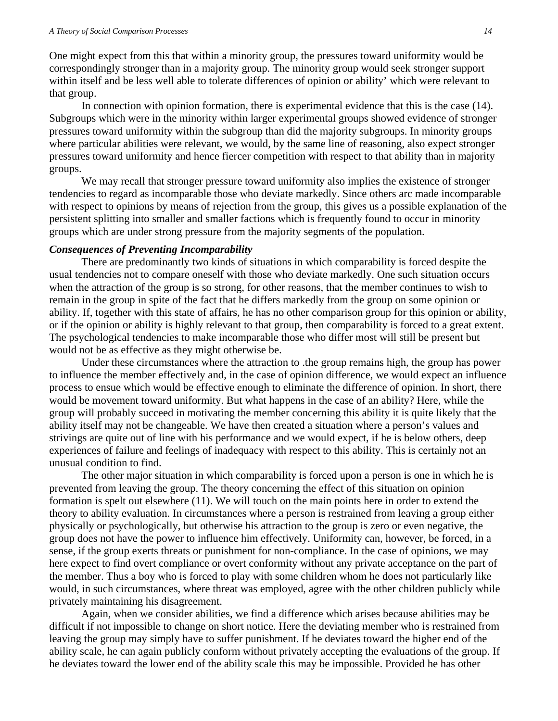One might expect from this that within a minority group, the pressures toward uniformity would be correspondingly stronger than in a majority group. The minority group would seek stronger support within itself and be less well able to tolerate differences of opinion or ability' which were relevant to that group.

 In connection with opinion formation, there is experimental evidence that this is the case (14). Subgroups which were in the minority within larger experimental groups showed evidence of stronger pressures toward uniformity within the subgroup than did the majority subgroups. In minority groups where particular abilities were relevant, we would, by the same line of reasoning, also expect stronger pressures toward uniformity and hence fiercer competition with respect to that ability than in majority groups.

We may recall that stronger pressure toward uniformity also implies the existence of stronger tendencies to regard as incomparable those who deviate markedly. Since others arc made incomparable with respect to opinions by means of rejection from the group, this gives us a possible explanation of the persistent splitting into smaller and smaller factions which is frequently found to occur in minority groups which are under strong pressure from the majority segments of the population.

# *Consequences of Preventing Incomparability*

 There are predominantly two kinds of situations in which comparability is forced despite the usual tendencies not to compare oneself with those who deviate markedly. One such situation occurs when the attraction of the group is so strong, for other reasons, that the member continues to wish to remain in the group in spite of the fact that he differs markedly from the group on some opinion or ability. If, together with this state of affairs, he has no other comparison group for this opinion or ability, or if the opinion or ability is highly relevant to that group, then comparability is forced to a great extent. The psychological tendencies to make incomparable those who differ most will still be present but would not be as effective as they might otherwise be.

 Under these circumstances where the attraction to .the group remains high, the group has power to influence the member effectively and, in the case of opinion difference, we would expect an influence process to ensue which would be effective enough to eliminate the difference of opinion. In short, there would be movement toward uniformity. But what happens in the case of an ability? Here, while the group will probably succeed in motivating the member concerning this ability it is quite likely that the ability itself may not be changeable. We have then created a situation where a person's values and strivings are quite out of line with his performance and we would expect, if he is below others, deep experiences of failure and feelings of inadequacy with respect to this ability. This is certainly not an unusual condition to find.

 The other major situation in which comparability is forced upon a person is one in which he is prevented from leaving the group. The theory concerning the effect of this situation on opinion formation is spelt out elsewhere (11). We will touch on the main points here in order to extend the theory to ability evaluation. In circumstances where a person is restrained from leaving a group either physically or psychologically, but otherwise his attraction to the group is zero or even negative, the group does not have the power to influence him effectively. Uniformity can, however, be forced, in a sense, if the group exerts threats or punishment for non-compliance. In the case of opinions, we may here expect to find overt compliance or overt conformity without any private acceptance on the part of the member. Thus a boy who is forced to play with some children whom he does not particularly like would, in such circumstances, where threat was employed, agree with the other children publicly while privately maintaining his disagreement.

 Again, when we consider abilities, we find a difference which arises because abilities may be difficult if not impossible to change on short notice. Here the deviating member who is restrained from leaving the group may simply have to suffer punishment. If he deviates toward the higher end of the ability scale, he can again publicly conform without privately accepting the evaluations of the group. If he deviates toward the lower end of the ability scale this may be impossible. Provided he has other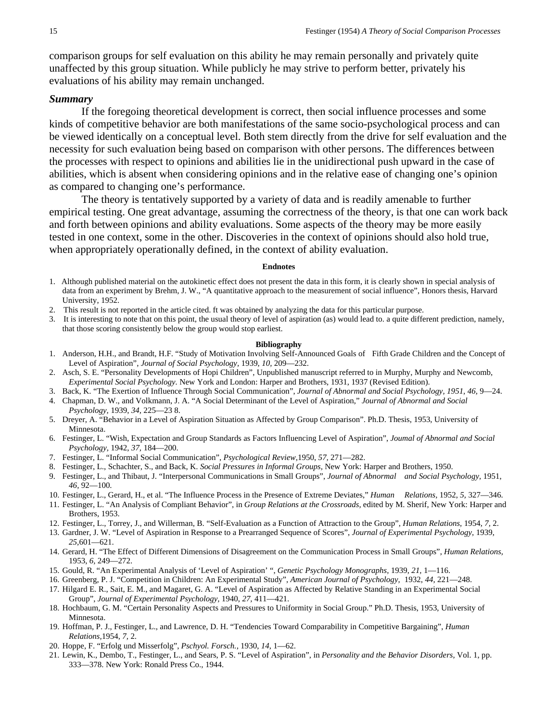comparison groups for self evaluation on this ability he may remain personally and privately quite unaffected by this group situation. While publicly he may strive to perform better, privately his evaluations of his ability may remain unchanged.

## *Summary*

 If the foregoing theoretical development is correct, then social influence processes and some kinds of competitive behavior are both manifestations of the same socio-psychological process and can be viewed identically on a conceptual level. Both stem directly from the drive for self evaluation and the necessity for such evaluation being based on comparison with other persons. The differences between the processes with respect to opinions and abilities lie in the unidirectional push upward in the case of abilities, which is absent when considering opinions and in the relative ease of changing one's opinion as compared to changing one's performance.

 The theory is tentatively supported by a variety of data and is readily amenable to further empirical testing. One great advantage, assuming the correctness of the theory, is that one can work back and forth between opinions and ability evaluations. Some aspects of the theory may be more easily tested in one context, some in the other. Discoveries in the context of opinions should also hold true, when appropriately operationally defined, in the context of ability evaluation.

### **Endnotes**

- 1. Although published material on the autokinetic effect does not present the data in this form, it is clearly shown in special analysis of data from an experiment by Brehm, J. W., "A quantitative approach to the measurement of social influence", Honors thesis, Harvard University, 1952.
- 2. This result is not reported in the article cited. ft was obtained by analyzing the data for this particular purpose.
- 3. It is interesting to note that on this point, the usual theory of level of aspiration (as) would lead to. a quite different prediction, namely, that those scoring consistently below the group would stop earliest.

#### **Bibliography**

- 1. Anderson, H.H., and Brandt, H.F. "Study of Motivation Involving Self-Announced Goals of Fifth Grade Children and the Concept of Level of Aspiration", *Journal of Social Psychology,* 1939, *10,* 209—232.
- 2. Asch, S. E. "Personality Developments of Hopi Children", Unpublished manuscript referred to in Murphy, Murphy and Newcomb, *Experimental Social Psychology.* New York and London: Harper and Brothers, 1931, 1937 (Revised Edition).
- 3. Back, K. "The Exertion of Influence Through Social Communication", *Journal of Abnormal and Social Psychology, 1951, 46,* 9—24.
- 4. Chapman, D. W., and Volkmann, J. A. "A Social Determinant of the Level of Aspiration," *Journal of Abnormal and Social Psychology,* 1939, *34,* 225—23 8.
- 5. Dreyer, A. "Behavior in a Level of Aspiration Situation as Affected by Group Comparison". Ph.D. Thesis, 1953, University of Minnesota.
- 6. Festinger, L. "Wish, Expectation and Group Standards as Factors Influencing Level of Aspiration", *Joumal of Abnormal and Social Psychology,* 1942, *37,* 184—200.
- 7. Festinger, L. "Informal Social Communication", *Psychological Review,*1950, *57,* 271—282.
- 8. Festinger, L., Schachter, S., and Back, K. *Social Pressures in Informal Groups,* New York: Harper and Brothers, 1950.
- 9. Festinger, L., and Thibaut, J. "Interpersonal Communications in Small Groups", *Journal of Abnormal and Social Psychology,* 1951, *46,* 92—100.
- 10. Festinger, L., Gerard, H., et al. "The Influence Process in the Presence of Extreme Deviates," *Human Relations,* 1952, *5,* 327—346.
- 11. Festinger, L. "An Analysis of Compliant Behavior", in *Group Relations at the Crossroads,* edited by M. Sherif, New York: Harper and Brothers, 1953.
- 12. Festinger, L., Torrey, J., and Willerman, B. "Self-Evaluation as a Function of Attraction to the Group", *Human Relations,* 1954, *7,* 2.
- 13. Gardner, J. W. "Level of Aspiration in Response to a Prearranged Sequence of Scores", *Journal of Experimental Psychology,* 1939, *25,*601—621.
- 14. Gerard, H. "The Effect of Different Dimensions of Disagreement on the Communication Process in Small Groups", *Human Relations,*  1953, *6,* 249—272.
- 15. Gould, R. "An Experimental Analysis of 'Level of Aspiration' ", *Genetic Psychology Monographs,* 1939, *21,* 1—116.
- 16. Greenberg, P. J. "Competition in Children: An Experimental Study", *American Journal of Psychology,* 1932, *44,* 221—248.
- 17. Hilgard E. R., Sait, E. M., and Magaret, G. A. "Level of Aspiration as Affected by Relative Standing in an Experimental Social Group", *Journal of Experimental Psychology,* 1940, *27,* 411—421.
- 18. Hochbaum, G. M. "Certain Personality Aspects and Pressures to Uniformity in Social Group." Ph.D. Thesis, 1953, University of Minnesota.
- 19. Hoffman, P. J., Festinger, L., and Lawrence, D. H. "Tendencies Toward Comparability in Competitive Bargaining", *Human Relations,*1954, *7,* 2.
- 20. Hoppe, F. "Erfolg und Misserfolg", *Pschyol. Forsch.,* 1930, *14,* 1—62.
- 21. Lewin, K., Dembo, T., Festinger, L., and Sears, P. S. "Level of Aspiration", in *Personality and the Behavior Disorders,* Vol. 1, pp. 333—378. New York: Ronald Press Co., 1944.